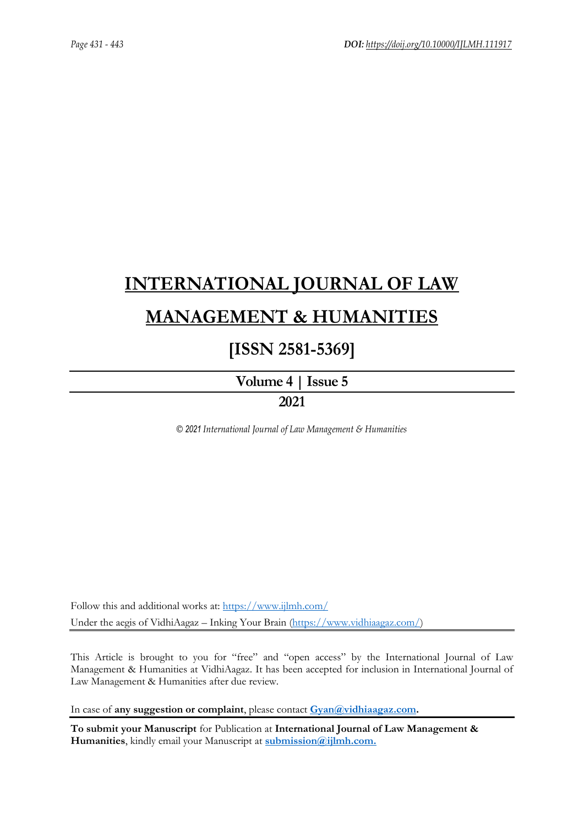# **[INTERNATIONAL JOURNAL OF LAW](https://www.ijlmh.com/)  [MANAGEMENT & HUMANITIES](https://www.ijlmh.com/)**

## **[ISSN 2581-5369]**

**[Volume 4 |](https://www.ijlmh.com/publications/volume-iv-issue-v/) Issue 5**

### **2021**

*© 2021 International Journal of Law Management & Humanities*

Follow this and additional works at:<https://www.ijlmh.com/> Under the aegis of VidhiAagaz – Inking Your Brain [\(https://www.vidhiaagaz.com/\)](https://www.vidhiaagaz.com/)

This Article is brought to you for "free" and "open access" by the International Journal of Law Management & Humanities at VidhiAagaz. It has been accepted for inclusion in International Journal of Law Management & Humanities after due review.

In case of **any suggestion or complaint**, please contact **[Gyan@vidhiaagaz.com.](mailto:Gyan@vidhiaagaz.com)** 

**To submit your Manuscript** for Publication at **International Journal of Law Management & Humanities**, kindly email your Manuscript at **[submission@ijlmh.com.](mailto:submission@ijlmh.com)**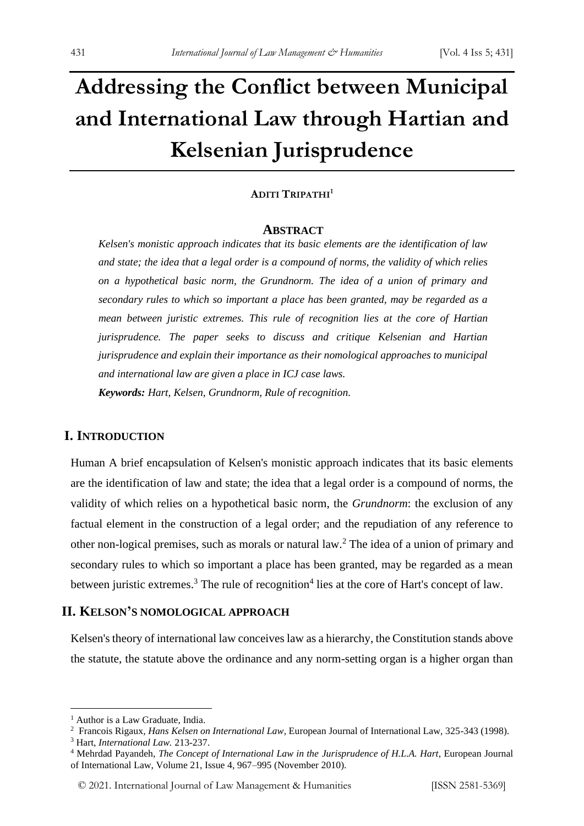# **Addressing the Conflict between Municipal and International Law through Hartian and Kelsenian Jurisprudence**

#### **ADITI TRIPATHI<sup>1</sup>**

#### **ABSTRACT**

*Kelsen's monistic approach indicates that its basic elements are the identification of law and state; the idea that a legal order is a compound of norms, the validity of which relies on a hypothetical basic norm, the Grundnorm. The idea of a union of primary and secondary rules to which so important a place has been granted, may be regarded as a mean between juristic extremes. This rule of recognition lies at the core of Hartian jurisprudence. The paper seeks to discuss and critique Kelsenian and Hartian jurisprudence and explain their importance as their nomological approaches to municipal and international law are given a place in ICJ case laws.*

*Keywords: Hart, Kelsen, Grundnorm, Rule of recognition.*

#### **I. INTRODUCTION**

Human A brief encapsulation of Kelsen's monistic approach indicates that its basic elements are the identification of law and state; the idea that a legal order is a compound of norms, the validity of which relies on a hypothetical basic norm, the *Grundnorm*: the exclusion of any factual element in the construction of a legal order; and the repudiation of any reference to other non-logical premises, such as morals or natural law.<sup>2</sup> The idea of a union of primary and secondary rules to which so important a place has been granted, may be regarded as a mean between juristic extremes.<sup>3</sup> The rule of recognition<sup>4</sup> lies at the core of Hart's concept of law.

#### **II. KELSON'S NOMOLOGICAL APPROACH**

Kelsen's theory of international law conceives law as a hierarchy, the Constitution stands above the statute, the statute above the ordinance and any norm-setting organ is a higher organ than

<sup>&</sup>lt;sup>1</sup> Author is a Law Graduate, India.

<sup>2</sup> Francois Rigaux*, Hans Kelsen on International Law*, European Journal of International Law, 325-343 (1998).

<sup>3</sup> Hart, *International Law.* 213-237.

<sup>4</sup> Mehrdad Payandeh, *The Concept of International Law in the Jurisprudence of H.L.A. Hart*, European Journal of International Law, Volume 21, Issue 4, 967–995 (November 2010).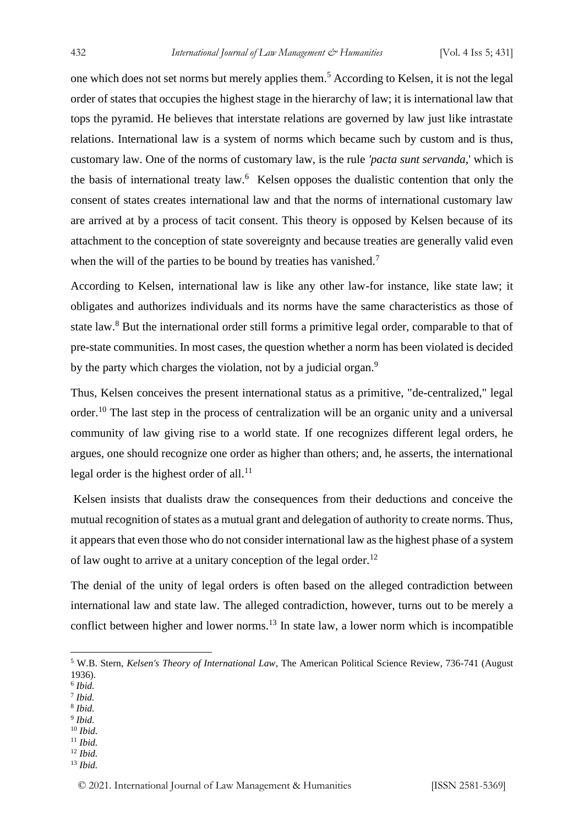one which does not set norms but merely applies them.<sup>5</sup> According to Kelsen, it is not the legal order of states that occupies the highest stage in the hierarchy of law; it is international law that tops the pyramid. He believes that interstate relations are governed by law just like intrastate relations. International law is a system of norms which became such by custom and is thus, customary law. One of the norms of customary law, is the rule *'pacta sunt servanda*,' which is the basis of international treaty law.<sup>6</sup> Kelsen opposes the dualistic contention that only the consent of states creates international law and that the norms of international customary law are arrived at by a process of tacit consent. This theory is opposed by Kelsen because of its attachment to the conception of state sovereignty and because treaties are generally valid even when the will of the parties to be bound by treaties has vanished.<sup>7</sup>

According to Kelsen, international law is like any other law-for instance, like state law; it obligates and authorizes individuals and its norms have the same characteristics as those of state law.<sup>8</sup> But the international order still forms a primitive legal order, comparable to that of pre-state communities. In most cases, the question whether a norm has been violated is decided by the party which charges the violation, not by a judicial organ.<sup>9</sup>

Thus, Kelsen conceives the present international status as a primitive, "de-centralized," legal order.<sup>10</sup> The last step in the process of centralization will be an organic unity and a universal community of law giving rise to a world state. If one recognizes different legal orders, he argues, one should recognize one order as higher than others; and, he asserts, the international legal order is the highest order of all. $^{11}$ 

Kelsen insists that dualists draw the consequences from their deductions and conceive the mutual recognition of states as a mutual grant and delegation of authority to create norms. Thus, it appears that even those who do not consider international law as the highest phase of a system of law ought to arrive at a unitary conception of the legal order. $^{12}$ 

The denial of the unity of legal orders is often based on the alleged contradiction between international law and state law. The alleged contradiction, however, turns out to be merely a conflict between higher and lower norms.<sup>13</sup> In state law, a lower norm which is incompatible

- 6 *Ibid.*
- 7 *Ibid.*
- 8 *Ibid.* 9 *Ibid.*
- <sup>10</sup> *Ibid.*
- <sup>11</sup> *Ibid.*
- <sup>12</sup> *Ibid.*
- <sup>13</sup> *Ibid.*

<sup>5</sup> W.B. Stern, *Kelsen's Theory of International Law*, The American Political Science Review, 736-741 (August 1936).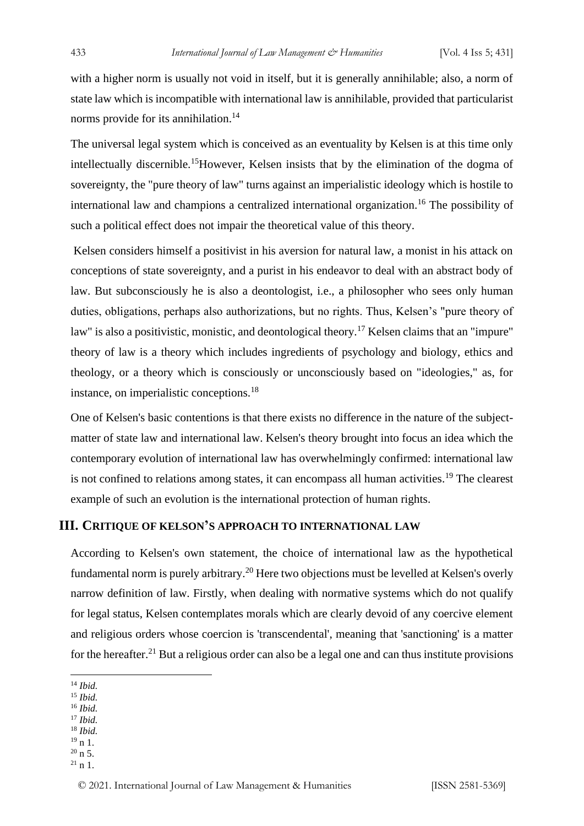with a higher norm is usually not void in itself, but it is generally annihilable; also, a norm of state law which is incompatible with international law is annihilable, provided that particularist norms provide for its annihilation.<sup>14</sup>

The universal legal system which is conceived as an eventuality by Kelsen is at this time only intellectually discernible.<sup>15</sup>However, Kelsen insists that by the elimination of the dogma of sovereignty, the "pure theory of law" turns against an imperialistic ideology which is hostile to international law and champions a centralized international organization.<sup>16</sup> The possibility of such a political effect does not impair the theoretical value of this theory.

Kelsen considers himself a positivist in his aversion for natural law, a monist in his attack on conceptions of state sovereignty, and a purist in his endeavor to deal with an abstract body of law. But subconsciously he is also a deontologist, i.e., a philosopher who sees only human duties, obligations, perhaps also authorizations, but no rights. Thus, Kelsen's "pure theory of law" is also a positivistic, monistic, and deontological theory.<sup>17</sup> Kelsen claims that an "impure" theory of law is a theory which includes ingredients of psychology and biology, ethics and theology, or a theory which is consciously or unconsciously based on "ideologies," as, for instance, on imperialistic conceptions.<sup>18</sup>

One of Kelsen's basic contentions is that there exists no difference in the nature of the subjectmatter of state law and international law. Kelsen's theory brought into focus an idea which the contemporary evolution of international law has overwhelmingly confirmed: international law is not confined to relations among states, it can encompass all human activities.<sup>19</sup> The clearest example of such an evolution is the international protection of human rights.

#### **III. CRITIQUE OF KELSON'S APPROACH TO INTERNATIONAL LAW**

According to Kelsen's own statement, the choice of international law as the hypothetical fundamental norm is purely arbitrary.<sup>20</sup> Here two objections must be levelled at Kelsen's overly narrow definition of law. Firstly, when dealing with normative systems which do not qualify for legal status, Kelsen contemplates morals which are clearly devoid of any coercive element and religious orders whose coercion is 'transcendental', meaning that 'sanctioning' is a matter for the hereafter.<sup>21</sup> But a religious order can also be a legal one and can thus institute provisions

- <sup>15</sup> *Ibid.*
- <sup>16</sup> *Ibid.*
- <sup>17</sup> *Ibid.* <sup>18</sup> *Ibid.*
- $19 n 1.$
- $20 n 5$ .
- $^{21}$  n 1.

<sup>14</sup> *Ibid.*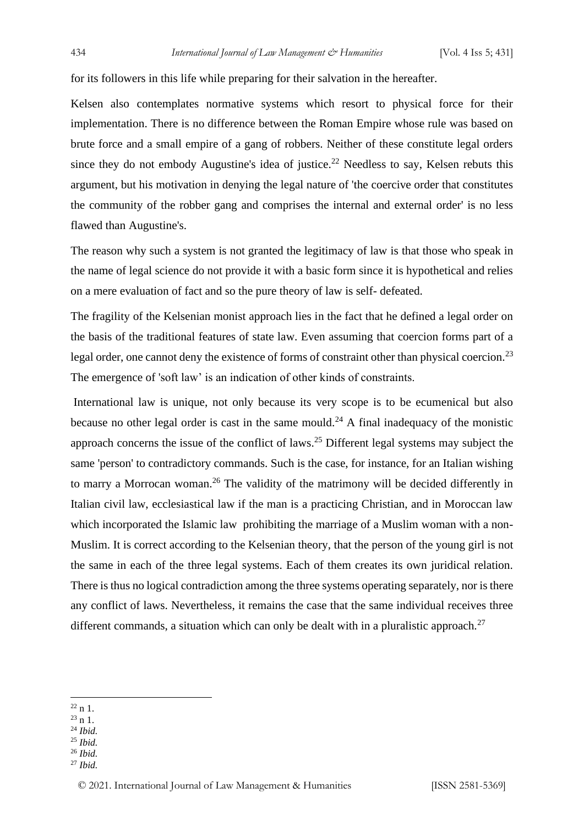for its followers in this life while preparing for their salvation in the hereafter.

Kelsen also contemplates normative systems which resort to physical force for their implementation. There is no difference between the Roman Empire whose rule was based on brute force and a small empire of a gang of robbers. Neither of these constitute legal orders since they do not embody Augustine's idea of justice.<sup>22</sup> Needless to say, Kelsen rebuts this argument, but his motivation in denying the legal nature of 'the coercive order that constitutes the community of the robber gang and comprises the internal and external order' is no less flawed than Augustine's.

The reason why such a system is not granted the legitimacy of law is that those who speak in the name of legal science do not provide it with a basic form since it is hypothetical and relies on a mere evaluation of fact and so the pure theory of law is self- defeated.

The fragility of the Kelsenian monist approach lies in the fact that he defined a legal order on the basis of the traditional features of state law. Even assuming that coercion forms part of a legal order, one cannot deny the existence of forms of constraint other than physical coercion.<sup>23</sup> The emergence of 'soft law' is an indication of other kinds of constraints.

International law is unique, not only because its very scope is to be ecumenical but also because no other legal order is cast in the same mould.<sup>24</sup> A final inadequacy of the monistic approach concerns the issue of the conflict of laws.<sup>25</sup> Different legal systems may subject the same 'person' to contradictory commands. Such is the case, for instance, for an Italian wishing to marry a Morrocan woman.<sup>26</sup> The validity of the matrimony will be decided differently in Italian civil law, ecclesiastical law if the man is a practicing Christian, and in Moroccan law which incorporated the Islamic law prohibiting the marriage of a Muslim woman with a non-Muslim. It is correct according to the Kelsenian theory, that the person of the young girl is not the same in each of the three legal systems. Each of them creates its own juridical relation. There is thus no logical contradiction among the three systems operating separately, nor is there any conflict of laws. Nevertheless, it remains the case that the same individual receives three different commands, a situation which can only be dealt with in a pluralistic approach.<sup>27</sup>

- $23 n 1$
- <sup>24</sup> *Ibid.*
- <sup>25</sup> *Ibid.*
- <sup>26</sup> *Ibid.*
- <sup>27</sup> *Ibid.*

 $22 n 1$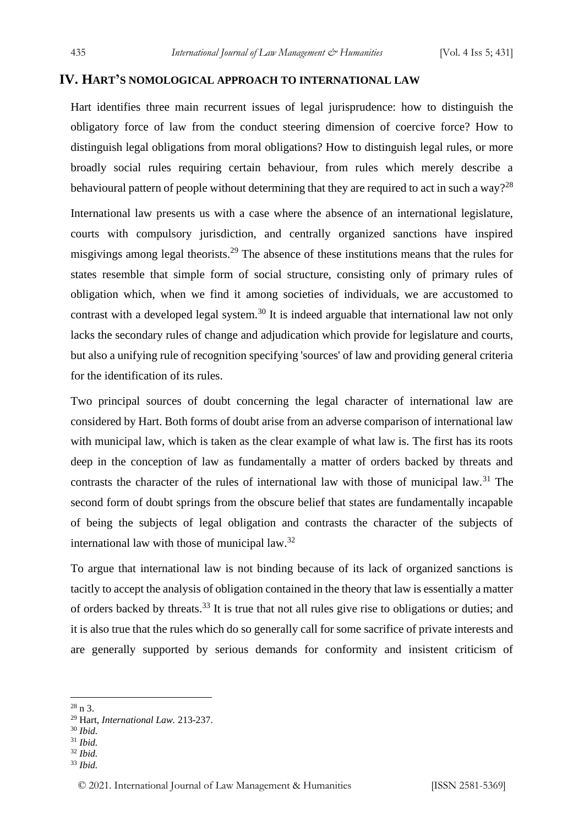### **IV. HART'S NOMOLOGICAL APPROACH TO INTERNATIONAL LAW**

Hart identifies three main recurrent issues of legal jurisprudence: how to distinguish the obligatory force of law from the conduct steering dimension of coercive force? How to distinguish legal obligations from moral obligations? How to distinguish legal rules, or more broadly social rules requiring certain behaviour, from rules which merely describe a behavioural pattern of people without determining that they are required to act in such a way?<sup>28</sup>

International law presents us with a case where the absence of an international legislature, courts with compulsory jurisdiction, and centrally organized sanctions have inspired misgivings among legal theorists.<sup>29</sup> The absence of these institutions means that the rules for states resemble that simple form of social structure, consisting only of primary rules of obligation which, when we find it among societies of individuals, we are accustomed to contrast with a developed legal system.<sup>30</sup> It is indeed arguable that international law not only lacks the secondary rules of change and adjudication which provide for legislature and courts, but also a unifying rule of recognition specifying 'sources' of law and providing general criteria for the identification of its rules.

Two principal sources of doubt concerning the legal character of international law are considered by Hart. Both forms of doubt arise from an adverse comparison of international law with municipal law, which is taken as the clear example of what law is. The first has its roots deep in the conception of law as fundamentally a matter of orders backed by threats and contrasts the character of the rules of international law with those of municipal law.<sup>31</sup> The second form of doubt springs from the obscure belief that states are fundamentally incapable of being the subjects of legal obligation and contrasts the character of the subjects of international law with those of municipal law.<sup>32</sup>

To argue that international law is not binding because of its lack of organized sanctions is tacitly to accept the analysis of obligation contained in the theory that law is essentially a matter of orders backed by threats.<sup>33</sup> It is true that not all rules give rise to obligations or duties; and it is also true that the rules which do so generally call for some sacrifice of private interests and are generally supported by serious demands for conformity and insistent criticism of

<sup>31</sup> *Ibid.*

<sup>33</sup> *Ibid.*

 $28 n 3$ 

<sup>29</sup> Hart, *International Law.* 213-237.

<sup>30</sup> *Ibid.*

<sup>32</sup> *Ibid.*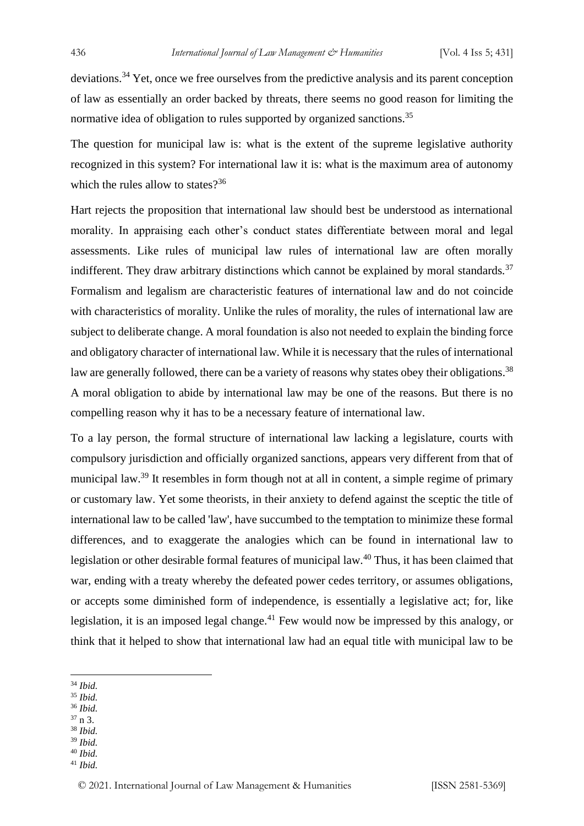deviations.<sup>34</sup> Yet, once we free ourselves from the predictive analysis and its parent conception of law as essentially an order backed by threats, there seems no good reason for limiting the normative idea of obligation to rules supported by organized sanctions.<sup>35</sup>

The question for municipal law is: what is the extent of the supreme legislative authority recognized in this system? For international law it is: what is the maximum area of autonomy which the rules allow to states $2^{36}$ 

Hart rejects the proposition that international law should best be understood as international morality. In appraising each other's conduct states differentiate between moral and legal assessments. Like rules of municipal law rules of international law are often morally indifferent. They draw arbitrary distinctions which cannot be explained by moral standards.<sup>37</sup> Formalism and legalism are characteristic features of international law and do not coincide with characteristics of morality. Unlike the rules of morality, the rules of international law are subject to deliberate change. A moral foundation is also not needed to explain the binding force and obligatory character of international law. While it is necessary that the rules of international law are generally followed, there can be a variety of reasons why states obey their obligations.<sup>38</sup> A moral obligation to abide by international law may be one of the reasons. But there is no compelling reason why it has to be a necessary feature of international law.

To a lay person, the formal structure of international law lacking a legislature, courts with compulsory jurisdiction and officially organized sanctions, appears very different from that of municipal law.<sup>39</sup> It resembles in form though not at all in content, a simple regime of primary or customary law. Yet some theorists, in their anxiety to defend against the sceptic the title of international law to be called 'law', have succumbed to the temptation to minimize these formal differences, and to exaggerate the analogies which can be found in international law to legislation or other desirable formal features of municipal law.<sup>40</sup> Thus, it has been claimed that war, ending with a treaty whereby the defeated power cedes territory, or assumes obligations, or accepts some diminished form of independence, is essentially a legislative act; for, like legislation, it is an imposed legal change.<sup>41</sup> Few would now be impressed by this analogy, or think that it helped to show that international law had an equal title with municipal law to be

- <sup>35</sup> *Ibid.*
- <sup>36</sup> *Ibid.*
- <sup>37</sup> n 3. <sup>38</sup> *Ibid.*
- <sup>39</sup> *Ibid.*
- <sup>40</sup> *Ibid.*
- <sup>41</sup> *Ibid.*

<sup>34</sup> *Ibid.*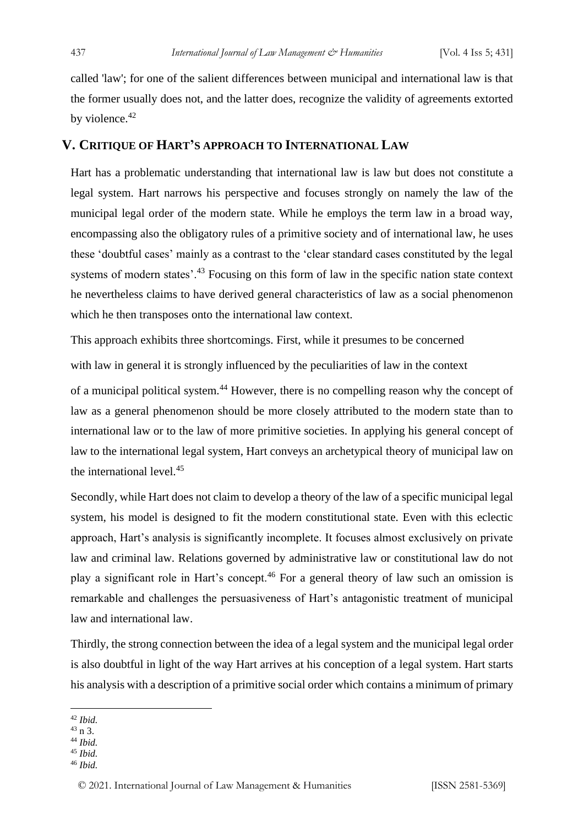called 'law'; for one of the salient differences between municipal and international law is that the former usually does not, and the latter does, recognize the validity of agreements extorted by violence.<sup>42</sup>

#### **V. CRITIQUE OF HART'S APPROACH TO INTERNATIONAL LAW**

Hart has a problematic understanding that international law is law but does not constitute a legal system. Hart narrows his perspective and focuses strongly on namely the law of the municipal legal order of the modern state. While he employs the term law in a broad way, encompassing also the obligatory rules of a primitive society and of international law, he uses these 'doubtful cases' mainly as a contrast to the 'clear standard cases constituted by the legal systems of modern states'.<sup>43</sup> Focusing on this form of law in the specific nation state context he nevertheless claims to have derived general characteristics of law as a social phenomenon which he then transposes onto the international law context.

This approach exhibits three shortcomings. First, while it presumes to be concerned with law in general it is strongly influenced by the peculiarities of law in the context

of a municipal political system.<sup>44</sup> However, there is no compelling reason why the concept of law as a general phenomenon should be more closely attributed to the modern state than to international law or to the law of more primitive societies. In applying his general concept of law to the international legal system, Hart conveys an archetypical theory of municipal law on the international level.<sup>45</sup>

Secondly, while Hart does not claim to develop a theory of the law of a specific municipal legal system, his model is designed to fit the modern constitutional state. Even with this eclectic approach, Hart's analysis is significantly incomplete. It focuses almost exclusively on private law and criminal law. Relations governed by administrative law or constitutional law do not play a significant role in Hart's concept.<sup>46</sup> For a general theory of law such an omission is remarkable and challenges the persuasiveness of Hart's antagonistic treatment of municipal law and international law.

Thirdly, the strong connection between the idea of a legal system and the municipal legal order is also doubtful in light of the way Hart arrives at his conception of a legal system. Hart starts his analysis with a description of a primitive social order which contains a minimum of primary

- <sup>44</sup> *Ibid.*
- <sup>45</sup> *Ibid.*
- <sup>46</sup> *Ibid.*

<sup>42</sup> *Ibid.*

 $43 n 3$ .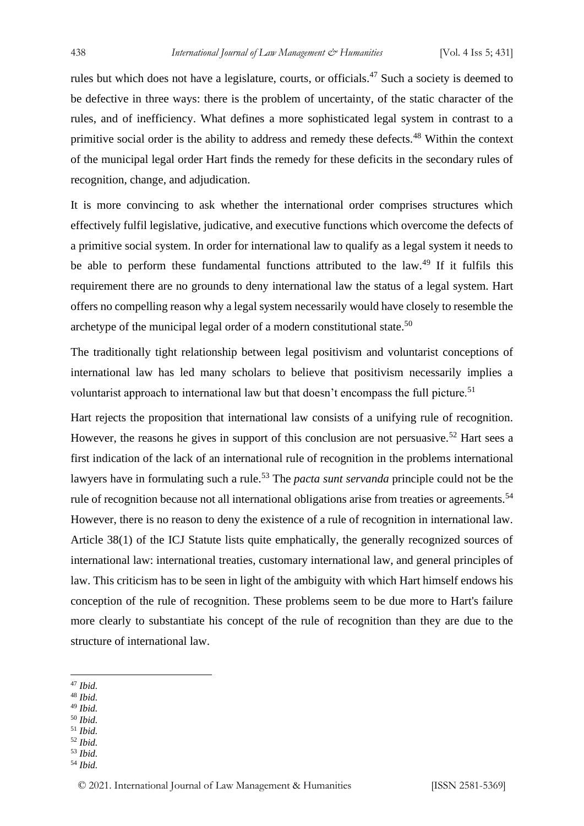rules but which does not have a legislature, courts, or officials.<sup>47</sup> Such a society is deemed to be defective in three ways: there is the problem of uncertainty, of the static character of the rules, and of inefficiency. What defines a more sophisticated legal system in contrast to a primitive social order is the ability to address and remedy these defects.<sup>48</sup> Within the context of the municipal legal order Hart finds the remedy for these deficits in the secondary rules of recognition, change, and adjudication.

It is more convincing to ask whether the international order comprises structures which effectively fulfil legislative, judicative, and executive functions which overcome the defects of a primitive social system. In order for international law to qualify as a legal system it needs to be able to perform these fundamental functions attributed to the law.<sup>49</sup> If it fulfils this requirement there are no grounds to deny international law the status of a legal system. Hart offers no compelling reason why a legal system necessarily would have closely to resemble the archetype of the municipal legal order of a modern constitutional state.<sup>50</sup>

The traditionally tight relationship between legal positivism and voluntarist conceptions of international law has led many scholars to believe that positivism necessarily implies a voluntarist approach to international law but that doesn't encompass the full picture.<sup>51</sup>

Hart rejects the proposition that international law consists of a unifying rule of recognition. However, the reasons he gives in support of this conclusion are not persuasive.<sup>52</sup> Hart sees a first indication of the lack of an international rule of recognition in the problems international lawyers have in formulating such a rule.<sup>53</sup> The *pacta sunt servanda* principle could not be the rule of recognition because not all international obligations arise from treaties or agreements.<sup>54</sup> However, there is no reason to deny the existence of a rule of recognition in international law. Article 38(1) of the ICJ Statute lists quite emphatically, the generally recognized sources of international law: international treaties, customary international law, and general principles of law. This criticism has to be seen in light of the ambiguity with which Hart himself endows his conception of the rule of recognition. These problems seem to be due more to Hart's failure more clearly to substantiate his concept of the rule of recognition than they are due to the structure of international law.

- <sup>48</sup> *Ibid.*
- <sup>49</sup> *Ibid.* <sup>50</sup> *Ibid.*
- <sup>51</sup> *Ibid.*
- <sup>52</sup> *Ibid.*
- <sup>53</sup> *Ibid.*
- <sup>54</sup> *Ibid.*

<sup>47</sup> *Ibid.*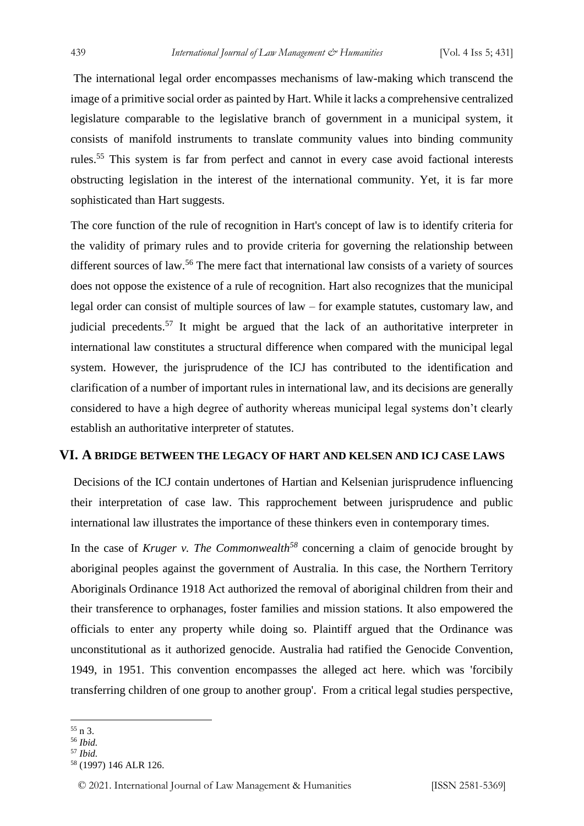The international legal order encompasses mechanisms of law-making which transcend the image of a primitive social order as painted by Hart. While it lacks a comprehensive centralized legislature comparable to the legislative branch of government in a municipal system, it consists of manifold instruments to translate community values into binding community rules.<sup>55</sup> This system is far from perfect and cannot in every case avoid factional interests obstructing legislation in the interest of the international community. Yet, it is far more sophisticated than Hart suggests.

The core function of the rule of recognition in Hart's concept of law is to identify criteria for the validity of primary rules and to provide criteria for governing the relationship between different sources of law.<sup>56</sup> The mere fact that international law consists of a variety of sources does not oppose the existence of a rule of recognition. Hart also recognizes that the municipal legal order can consist of multiple sources of law – for example statutes, customary law, and judicial precedents.<sup>57</sup> It might be argued that the lack of an authoritative interpreter in international law constitutes a structural difference when compared with the municipal legal system. However, the jurisprudence of the ICJ has contributed to the identification and clarification of a number of important rules in international law, and its decisions are generally considered to have a high degree of authority whereas municipal legal systems don't clearly establish an authoritative interpreter of statutes.

#### **VI. A BRIDGE BETWEEN THE LEGACY OF HART AND KELSEN AND ICJ CASE LAWS**

Decisions of the ICJ contain undertones of Hartian and Kelsenian jurisprudence influencing their interpretation of case law. This rapprochement between jurisprudence and public international law illustrates the importance of these thinkers even in contemporary times.

In the case of *Kruger v. The Commonwealth*<sup>58</sup> concerning a claim of genocide brought by aboriginal peoples against the government of Australia. In this case, the Northern Territory Aboriginals Ordinance 1918 Act authorized the removal of aboriginal children from their and their transference to orphanages, foster families and mission stations. It also empowered the officials to enter any property while doing so. Plaintiff argued that the Ordinance was unconstitutional as it authorized genocide. Australia had ratified the Genocide Convention, 1949, in 1951. This convention encompasses the alleged act here. which was 'forcibily transferring children of one group to another group'. From a critical legal studies perspective,

 $55 \text{ n } 3$ .

<sup>56</sup> *Ibid.*

<sup>57</sup> *Ibid.*

<sup>58</sup> (1997) 146 ALR 126.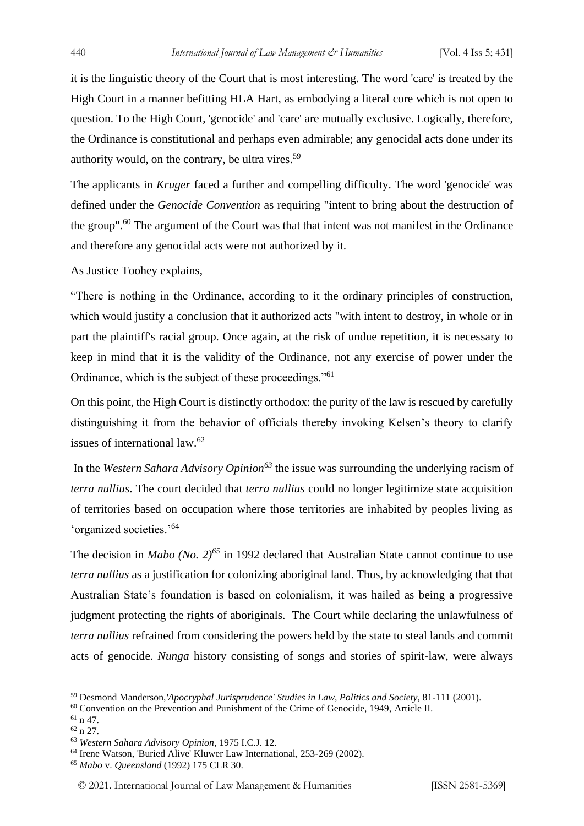it is the linguistic theory of the Court that is most interesting. The word 'care' is treated by the High Court in a manner befitting HLA Hart, as embodying a literal core which is not open to question. To the High Court, 'genocide' and 'care' are mutually exclusive. Logically, therefore, the Ordinance is constitutional and perhaps even admirable; any genocidal acts done under its authority would, on the contrary, be ultra vires.<sup>59</sup>

The applicants in *Kruger* faced a further and compelling difficulty. The word 'genocide' was defined under the *Genocide Convention* as requiring "intent to bring about the destruction of the group".<sup>60</sup> The argument of the Court was that that intent was not manifest in the Ordinance and therefore any genocidal acts were not authorized by it.

As Justice Toohey explains,

"There is nothing in the Ordinance, according to it the ordinary principles of construction, which would justify a conclusion that it authorized acts "with intent to destroy, in whole or in part the plaintiff's racial group. Once again, at the risk of undue repetition, it is necessary to keep in mind that it is the validity of the Ordinance, not any exercise of power under the Ordinance, which is the subject of these proceedings."<sup>61</sup>

On this point, the High Court is distinctly orthodox: the purity of the law is rescued by carefully distinguishing it from the behavior of officials thereby invoking Kelsen's theory to clarify issues of international law.<sup>62</sup>

In the *Western Sahara Advisory Opinion<sup>63</sup>* the issue was surrounding the underlying racism of *terra nullius*. The court decided that *terra nullius* could no longer legitimize state acquisition of territories based on occupation where those territories are inhabited by peoples living as 'organized societies.'<sup>64</sup>

The decision in *Mabo (No. 2)<sup>65</sup>* in 1992 declared that Australian State cannot continue to use *terra nullius* as a justification for colonizing aboriginal land. Thus, by acknowledging that that Australian State's foundation is based on colonialism, it was hailed as being a progressive judgment protecting the rights of aboriginals. The Court while declaring the unlawfulness of *terra nullius* refrained from considering the powers held by the state to steal lands and commit acts of genocide. *Nunga* history consisting of songs and stories of spirit-law, were always

<sup>59</sup> Desmond Manderson,*'Apocryphal Jurisprudence' Studies in Law, Politics and Society,* 81-111 (2001).

<sup>&</sup>lt;sup>60</sup> Convention on the Prevention and Punishment of the Crime of Genocide, 1949, Article II.

 $61$  n 47.

<sup>62</sup> n 27.

<sup>63</sup> *Western Sahara Advisory Opinion*, 1975 I.C.J. 12.

<sup>64</sup> Irene Watson, 'Buried Alive' Kluwer Law International, 253-269 (2002).

<sup>65</sup> *Mabo* v. *Queensland* (1992) 175 CLR 30.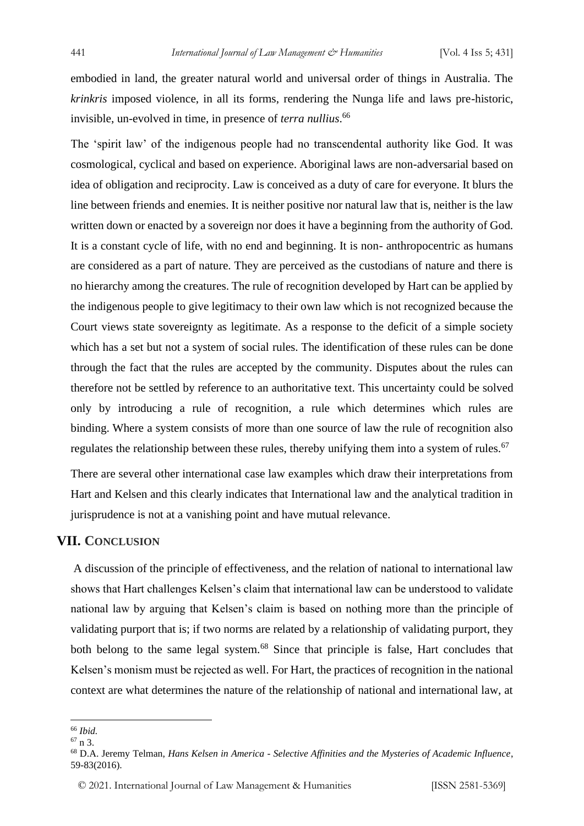embodied in land, the greater natural world and universal order of things in Australia. The *krinkris* imposed violence, in all its forms, rendering the Nunga life and laws pre-historic, invisible, un-evolved in time, in presence of *terra nullius*. 66

The 'spirit law' of the indigenous people had no transcendental authority like God. It was cosmological, cyclical and based on experience. Aboriginal laws are non-adversarial based on idea of obligation and reciprocity. Law is conceived as a duty of care for everyone. It blurs the line between friends and enemies. It is neither positive nor natural law that is, neither is the law written down or enacted by a sovereign nor does it have a beginning from the authority of God. It is a constant cycle of life, with no end and beginning. It is non- anthropocentric as humans are considered as a part of nature. They are perceived as the custodians of nature and there is no hierarchy among the creatures. The rule of recognition developed by Hart can be applied by the indigenous people to give legitimacy to their own law which is not recognized because the Court views state sovereignty as legitimate. As a response to the deficit of a simple society which has a set but not a system of social rules. The identification of these rules can be done through the fact that the rules are accepted by the community. Disputes about the rules can therefore not be settled by reference to an authoritative text. This uncertainty could be solved only by introducing a rule of recognition, a rule which determines which rules are binding. Where a system consists of more than one source of law the rule of recognition also regulates the relationship between these rules, thereby unifying them into a system of rules.<sup>67</sup>

There are several other international case law examples which draw their interpretations from Hart and Kelsen and this clearly indicates that International law and the analytical tradition in jurisprudence is not at a vanishing point and have mutual relevance.

#### **VII. CONCLUSION**

A discussion of the principle of effectiveness, and the relation of national to international law shows that Hart challenges Kelsen's claim that international law can be understood to validate national law by arguing that Kelsen's claim is based on nothing more than the principle of validating purport that is; if two norms are related by a relationship of validating purport, they both belong to the same legal system.<sup>68</sup> Since that principle is false, Hart concludes that Kelsen's monism must be rejected as well. For Hart, the practices of recognition in the national context are what determines the nature of the relationship of national and international law, at

<sup>66</sup> *Ibid.*

 $67 n 3$ 

<sup>68</sup> D.A. Jeremy Telman, *Hans Kelsen in America - Selective Affinities and the Mysteries of Academic Influence*, 59-83(2016).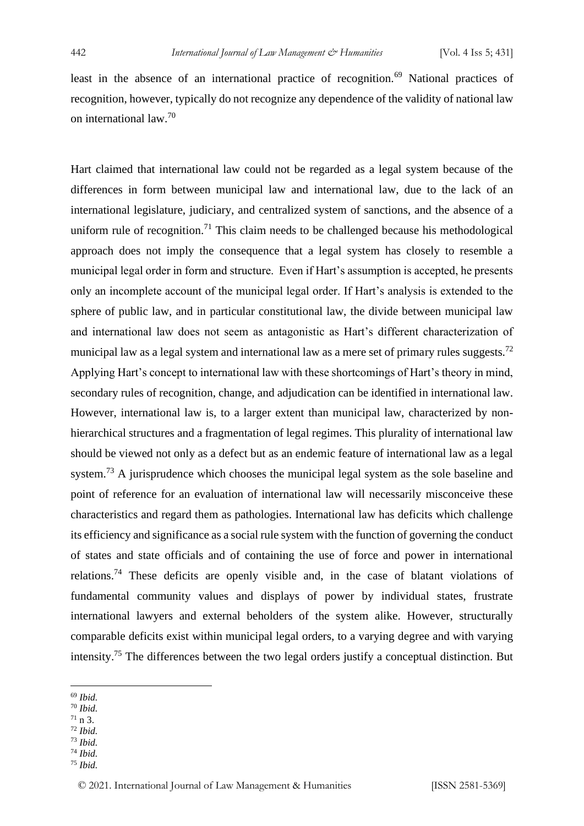least in the absence of an international practice of recognition.<sup>69</sup> National practices of recognition, however, typically do not recognize any dependence of the validity of national law on international law.<sup>70</sup>

Hart claimed that international law could not be regarded as a legal system because of the differences in form between municipal law and international law, due to the lack of an international legislature, judiciary, and centralized system of sanctions, and the absence of a uniform rule of recognition.<sup>71</sup> This claim needs to be challenged because his methodological approach does not imply the consequence that a legal system has closely to resemble a municipal legal order in form and structure. Even if Hart's assumption is accepted, he presents only an incomplete account of the municipal legal order. If Hart's analysis is extended to the sphere of public law, and in particular constitutional law, the divide between municipal law and international law does not seem as antagonistic as Hart's different characterization of municipal law as a legal system and international law as a mere set of primary rules suggests.<sup>72</sup> Applying Hart's concept to international law with these shortcomings of Hart's theory in mind, secondary rules of recognition, change, and adjudication can be identified in international law. However, international law is, to a larger extent than municipal law, characterized by nonhierarchical structures and a fragmentation of legal regimes. This plurality of international law should be viewed not only as a defect but as an endemic feature of international law as a legal system.<sup>73</sup> A jurisprudence which chooses the municipal legal system as the sole baseline and point of reference for an evaluation of international law will necessarily misconceive these characteristics and regard them as pathologies. International law has deficits which challenge its efficiency and significance as a social rule system with the function of governing the conduct of states and state officials and of containing the use of force and power in international relations.<sup>74</sup> These deficits are openly visible and, in the case of blatant violations of fundamental community values and displays of power by individual states, frustrate international lawyers and external beholders of the system alike. However, structurally comparable deficits exist within municipal legal orders, to a varying degree and with varying intensity.<sup>75</sup> The differences between the two legal orders justify a conceptual distinction. But

- <sup>69</sup> *Ibid.*
- <sup>70</sup> *Ibid.*
- $71 n 3$ . <sup>72</sup> *Ibid.*
- <sup>73</sup> *Ibid.*
- <sup>74</sup> *Ibid.*
- <sup>75</sup> *Ibid.*